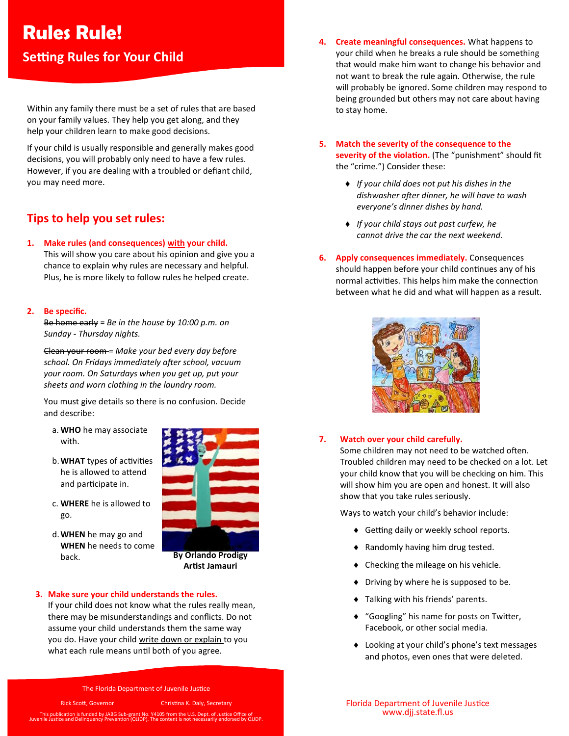# **Rules Rule!**

## **Setting Rules for Your Child**

Within any family there must be a set of rules that are based on your family values. They help you get along, and they help your children learn to make good decisions.

If your child is usually responsible and generally makes good decisions, you will probably only need to have a few rules. However, if you are dealing with a troubled or defiant child, you may need more.

## **Tips to help you set rules:**

**1. Make rules (and consequences) with your child.**

This will show you care about his opinion and give you a chance to explain why rules are necessary and helpful. Plus, he is more likely to follow rules he helped create.

#### **2. Be specific.**

Be home early = *Be in the house by 10:00 p.m. on Sunday - Thursday nights.*

Clean your room = *Make your bed every day before school. On Fridays immediately after school, vacuum your room. On Saturdays when you get up, put your sheets and worn clothing in the laundry room.* 

You must give details so there is no confusion. Decide and describe:

- a. **WHO** he may associate with.
- b.**WHAT** types of activities he is allowed to attend and participate in.
- c. **WHERE** he is allowed to go.
- d.**WHEN** he may go and **WHEN** he needs to come back.



**Artist Jamauri**

#### **3. Make sure your child understands the rules.**

If your child does not know what the rules really mean, there may be misunderstandings and conflicts. Do not assume your child understands them the same way you do. Have your child write down or explain to you what each rule means until both of you agree.

The Florida Department of Juvenile Justice

Rick Scott, Governor Christina K. Daly, Secretary

This publication is funded by JABG Sub-grant No. Y4105 from the U.S. Dept. of Justice Office of Juvenile Justice and Delinquency Prevention (OJJDP). The content is not necessarily endorsed by OJJDP.

- **4. Create meaningful consequences.** What happens to your child when he breaks a rule should be something that would make him want to change his behavior and not want to break the rule again*.* Otherwise, the rule will probably be ignored. Some children may respond to being grounded but others may not care about having to stay home.
- **5. Match the severity of the consequence to the**  severity of the violation. (The "punishment" should fit the "crime.") Consider these:
	- *If your child does not put his dishes in the dishwasher after dinner, he will have to wash everyone's dinner dishes by hand.*
	- *If your child stays out past curfew, he cannot drive the car the next weekend.*
- **6. Apply consequences immediately.** Consequences should happen before your child continues any of his normal activities. This helps him make the connection between what he did and what will happen as a result.



#### **7. Watch over your child carefully.**

Some children may not need to be watched often. Troubled children may need to be checked on a lot. Let your child know that you will be checking on him. This will show him you are open and honest. It will also show that you take rules seriously.

Ways to watch your child's behavior include:

- ◆ Getting daily or weekly school reports.
- Randomly having him drug tested.
- Checking the mileage on his vehicle.
- ◆ Driving by where he is supposed to be.
- Talking with his friends' parents.
- "Googling" his name for posts on Twitter, Facebook, or other social media.
- ◆ Looking at your child's phone's text messages and photos, even ones that were deleted.

Florida Department of Juvenile Justice www.djj.state.fl.us